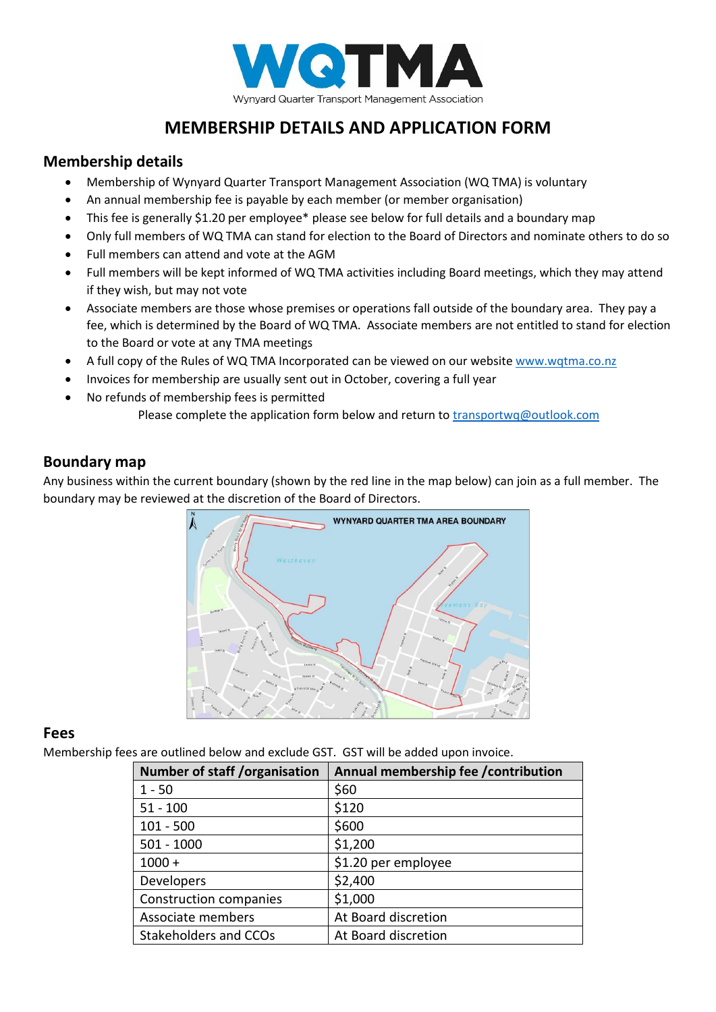

# **MEMBERSHIP DETAILS AND APPLICATION FORM**

#### **Membership details**

- Membership of Wynyard Quarter Transport Management Association (WQ TMA) is voluntary
- An annual membership fee is payable by each member (or member organisation)
- This fee is generally \$1.20 per employee\* please see below for full details and a boundary map
- Only full members of WQ TMA can stand for election to the Board of Directors and nominate others to do so
- Full members can attend and vote at the AGM
- Full members will be kept informed of WQ TMA activities including Board meetings, which they may attend if they wish, but may not vote
- Associate members are those whose premises or operations fall outside of the boundary area. They pay a fee, which is determined by the Board of WQ TMA. Associate members are not entitled to stand for election to the Board or vote at any TMA meetings
- A full copy of the Rules of WQ TMA Incorporated can be viewed on our website [www.wqtma.co.nz](http://www.wqtma.co.nz/)
- Invoices for membership are usually sent out in October, covering a full year
- No refunds of membership fees is permitted Please complete the application form below and return t[o transportwq@outlook.com](mailto:transportwq@outlook.com)

### **Boundary map**

Any business within the current boundary (shown by the red line in the map below) can join as a full member. The boundary may be reviewed at the discretion of the Board of Directors.



#### **Fees**

Membership fees are outlined below and exclude GST. GST will be added upon invoice.

| <b>Number of staff /organisation</b> | Annual membership fee / contribution |
|--------------------------------------|--------------------------------------|
| $1 - 50$                             | \$60                                 |
| $51 - 100$                           | \$120                                |
| $101 - 500$                          | \$600                                |
| $501 - 1000$                         | \$1,200                              |
| $1000 +$                             | \$1.20 per employee                  |
| Developers                           | \$2,400                              |
| <b>Construction companies</b>        | \$1,000                              |
| Associate members                    | At Board discretion                  |
| <b>Stakeholders and CCOs</b>         | At Board discretion                  |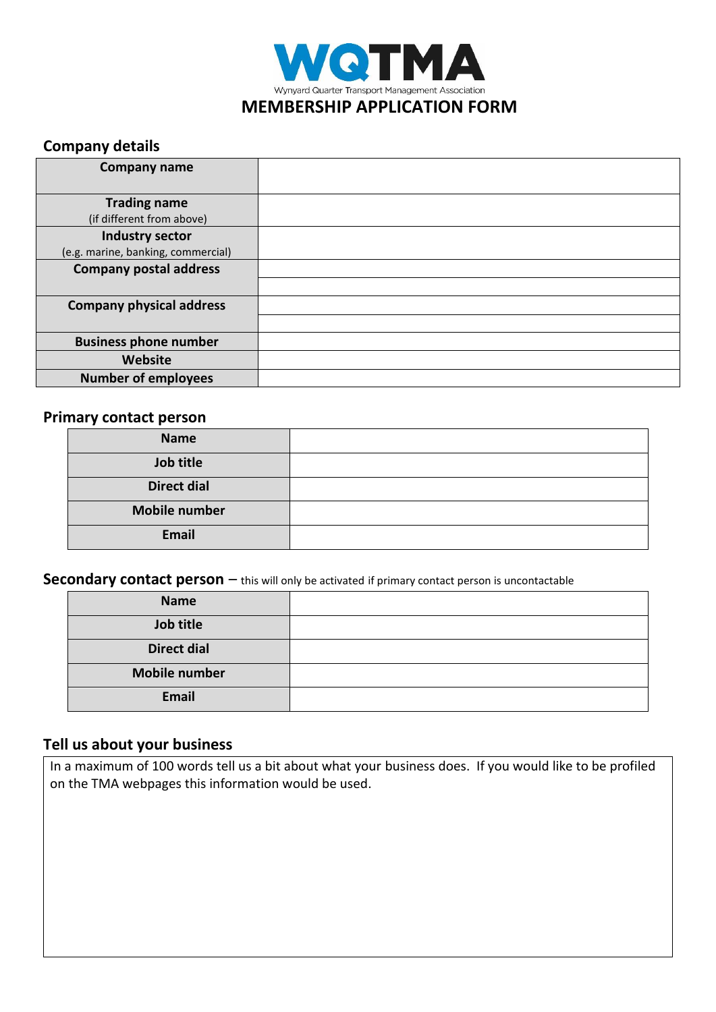

# **Company details**

| <b>Company name</b>                |  |
|------------------------------------|--|
|                                    |  |
| <b>Trading name</b>                |  |
| (if different from above)          |  |
| Industry sector                    |  |
| (e.g. marine, banking, commercial) |  |
| <b>Company postal address</b>      |  |
|                                    |  |
| <b>Company physical address</b>    |  |
|                                    |  |
| <b>Business phone number</b>       |  |
| Website                            |  |
| <b>Number of employees</b>         |  |

### **Primary contact person**

| <b>Name</b>          |  |
|----------------------|--|
| Job title            |  |
| <b>Direct dial</b>   |  |
| <b>Mobile number</b> |  |
| <b>Email</b>         |  |

**Secondary contact person** – this will only be activated if primary contact person is uncontactable

| <b>Name</b>          |  |
|----------------------|--|
| Job title            |  |
| <b>Direct dial</b>   |  |
| <b>Mobile number</b> |  |
| <b>Email</b>         |  |

# **Tell us about your business**

In a maximum of 100 words tell us a bit about what your business does. If you would like to be profiled on the TMA webpages this information would be used.